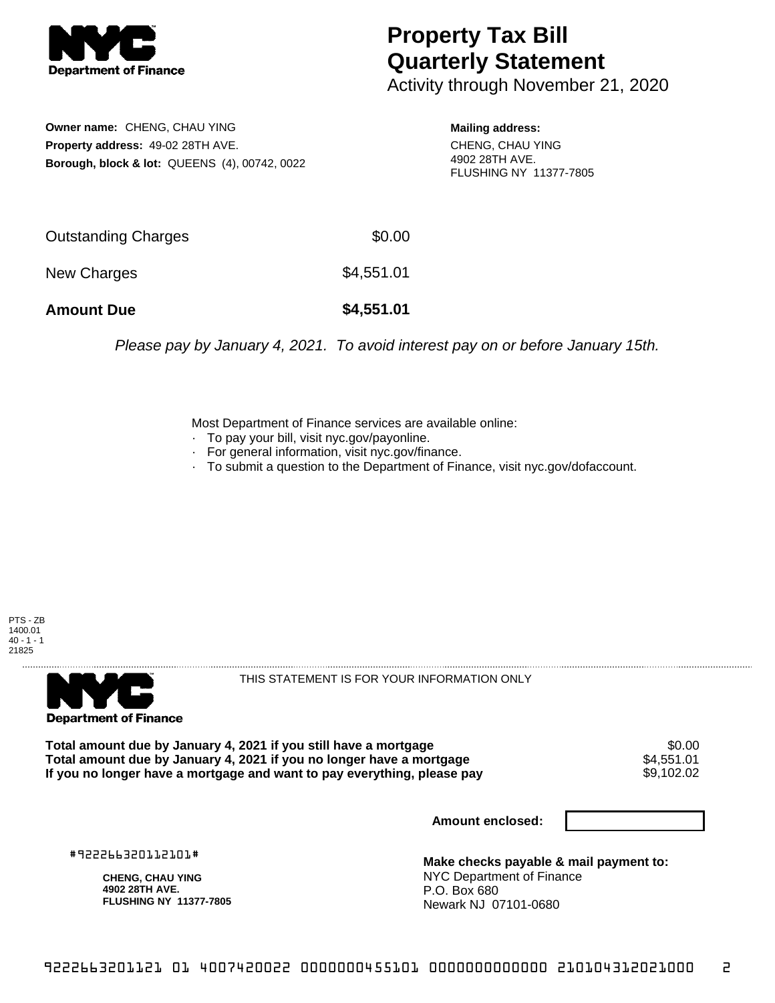

## **Property Tax Bill Quarterly Statement**

Activity through November 21, 2020

**Owner name:** CHENG, CHAU YING **Property address:** 49-02 28TH AVE. **Borough, block & lot:** QUEENS (4), 00742, 0022

**Mailing address:** CHENG, CHAU YING 4902 28TH AVE. FLUSHING NY 11377-7805

| <b>Amount Due</b>   | \$4,551.01 |
|---------------------|------------|
| New Charges         | \$4,551.01 |
| Outstanding Charges | \$0.00     |

Please pay by January 4, 2021. To avoid interest pay on or before January 15th.

Most Department of Finance services are available online:

- · To pay your bill, visit nyc.gov/payonline.
- For general information, visit nyc.gov/finance.
- · To submit a question to the Department of Finance, visit nyc.gov/dofaccount.





THIS STATEMENT IS FOR YOUR INFORMATION ONLY

Total amount due by January 4, 2021 if you still have a mortgage  $$0.00$ <br>Total amount due by January 4, 2021 if you no longer have a mortgage  $$4,551.01$ **Total amount due by January 4, 2021 if you no longer have a mortgage**  $$4,551.01$ **<br>If you no longer have a mortgage and want to pay everything, please pay <b>show that the summan set of the set of** If you no longer have a mortgage and want to pay everything, please pay

**Amount enclosed:**

#922266320112101#

**CHENG, CHAU YING 4902 28TH AVE. FLUSHING NY 11377-7805**

**Make checks payable & mail payment to:** NYC Department of Finance P.O. Box 680 Newark NJ 07101-0680